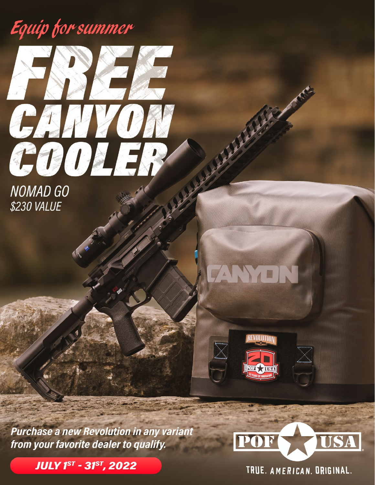## Equip for summer



**NOMAD GO** \$230 VALUE



**EVOLUTION** 

**Purchase a new Revolution in any variant** from your favorite dealer to qualify.

**JULY 1ST - 31ST, 2022** 



TRUE. AMERICAN. ORIGINAL.